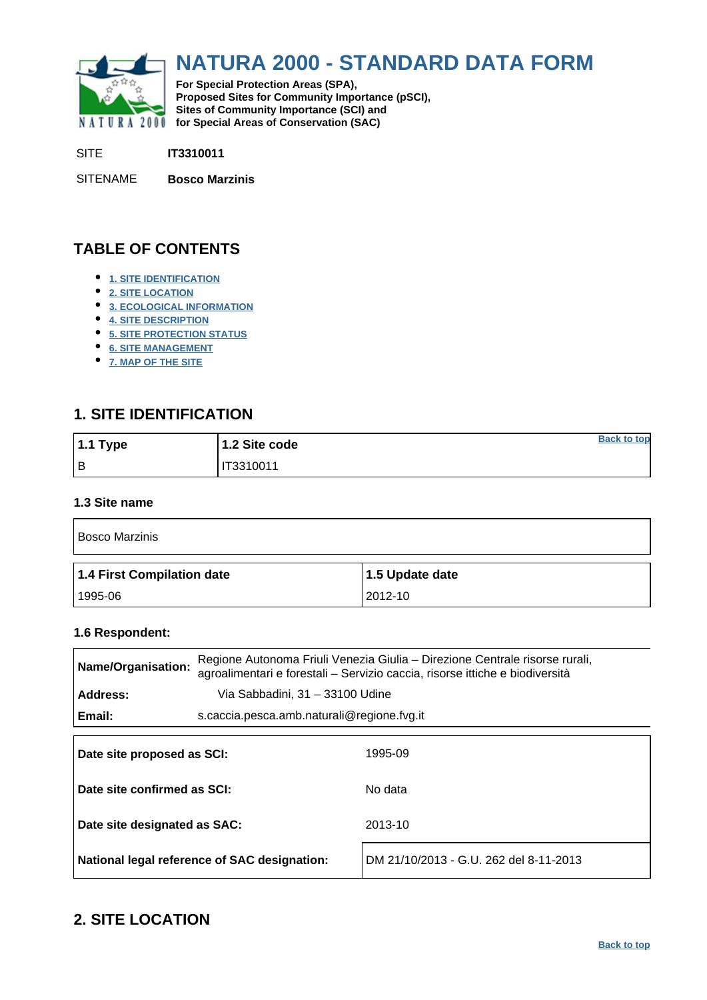<span id="page-0-0"></span>

# **NATURA 2000 - STANDARD DATA FORM**

**For Special Protection Areas (SPA), Proposed Sites for Community Importance (pSCI), Sites of Community Importance (SCI) and NATURA 2000 for Special Areas of Conservation (SAC)** 

SITE **IT3310011**

SITENAME **Bosco Marzinis**

### **TABLE OF CONTENTS**

- **[1. SITE IDENTIFICATION](#page-0-1)**
- **[2. SITE LOCATION](#page-0-2)**
- **[3. ECOLOGICAL INFORMATION](#page-1-0)**
- **[4. SITE DESCRIPTION](#page-3-0)**
- **[5. SITE PROTECTION STATUS](#page-4-0)**
- **[6. SITE MANAGEMENT](#page-4-1)**
- **[7. MAP OF THE SITE](#page-5-0)**

### <span id="page-0-1"></span>**1. SITE IDENTIFICATION**

| 1.1 Type | 1.2 Site code | <b>Back to top</b> |
|----------|---------------|--------------------|
| Iв       | IT3310011     |                    |

#### **1.3 Site name**

| <b>Bosco Marzinis</b>      |                 |  |  |  |  |  |  |
|----------------------------|-----------------|--|--|--|--|--|--|
| 1.4 First Compilation date | 1.5 Update date |  |  |  |  |  |  |
| 1995-06                    | 2012-10         |  |  |  |  |  |  |

#### **1.6 Respondent:**

| <b>Name/Organisation:</b>    | Regione Autonoma Friuli Venezia Giulia – Direzione Centrale risorse rurali,<br>agroalimentari e forestali - Servizio caccia, risorse ittiche e biodiversità |         |  |  |  |  |
|------------------------------|-------------------------------------------------------------------------------------------------------------------------------------------------------------|---------|--|--|--|--|
| Address:                     | Via Sabbadini, 31 - 33100 Udine                                                                                                                             |         |  |  |  |  |
| Email:                       | s.caccia.pesca.amb.naturali@regione.fvg.it                                                                                                                  |         |  |  |  |  |
| Date site proposed as SCI:   |                                                                                                                                                             | 1995-09 |  |  |  |  |
| Date site confirmed as SCI:  |                                                                                                                                                             | No data |  |  |  |  |
| Date site designated as SAC: |                                                                                                                                                             | 2013-10 |  |  |  |  |

**National legal reference of SAC designation:** DM 21/10/2013 - G.U. 262 del 8-11-2013

## <span id="page-0-2"></span>**2. SITE LOCATION**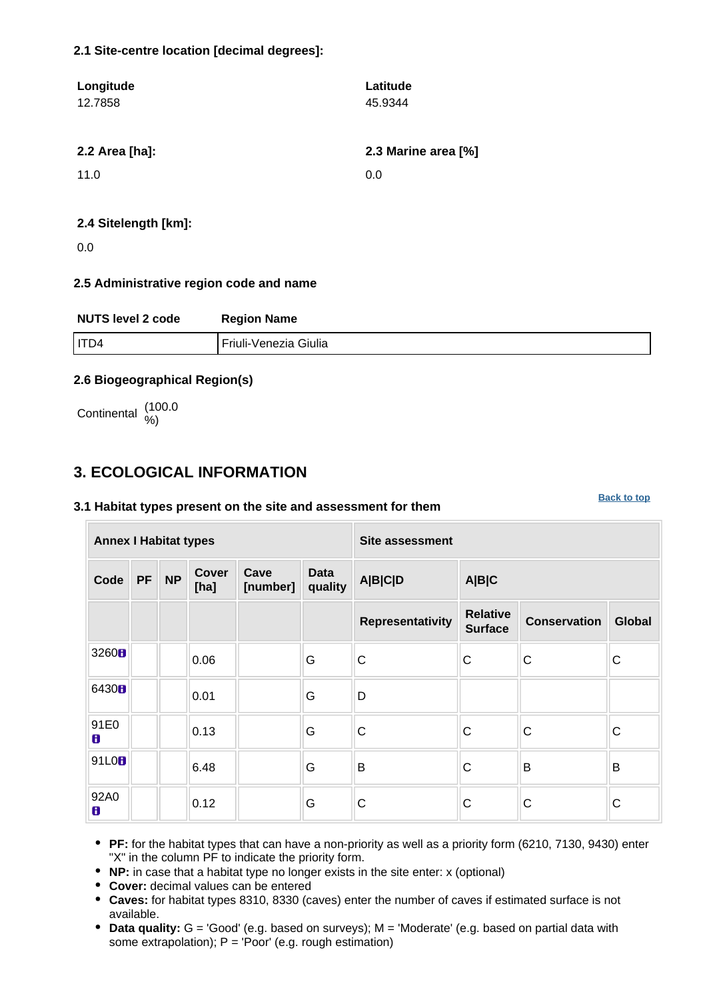### **2.1 Site-centre location [decimal degrees]:**

| Longitude      | Latitude            |
|----------------|---------------------|
| 12.7858        | 45.9344             |
|                |                     |
| 2.2 Area [ha]: | 2.3 Marine area [%] |
| 11.0           | 0.0                 |
|                |                     |
| _ _ _ _ _      |                     |

### **2.4 Sitelength [km]:**

0.0

### **2.5 Administrative region code and name**

| <b>NUTS level 2 code</b> | <b>Region Name</b>      |
|--------------------------|-------------------------|
| I ITD4                   | l Friuli-Venezia Giulia |

### **2.6 Biogeographical Region(s)**

Continental (100.0

### <span id="page-1-0"></span>**3. ECOLOGICAL INFORMATION**

### **3.1 Habitat types present on the site and assessment for them**

**Annex I Habitat types Site assessment Code PF NP Cover [ha] Cave [number] Data quality A|B|C|D A|B|C Representativity Relative Surface Conservation Global** <sup>3260</sup> 0.06 G C C C C 6430 **0.** 0.01 **G** D 91E0 0.13 G C C C C 91L0 6.48 G B C B B 92A0 0.12 G C C C

**[Back to top](#page-0-0)**

**PF:** for the habitat types that can have a non-priority as well as a priority form (6210, 7130, 9430) enter "X" in the column PF to indicate the priority form.

- **NP:** in case that a habitat type no longer exists in the site enter: x (optional)
- **Cover:** decimal values can be entered
- **Caves:** for habitat types 8310, 8330 (caves) enter the number of caves if estimated surface is not available.
- **Data quality:** G = 'Good' (e.g. based on surveys); M = 'Moderate' (e.g. based on partial data with some extrapolation);  $P = 'Poor'$  (e.g. rough estimation)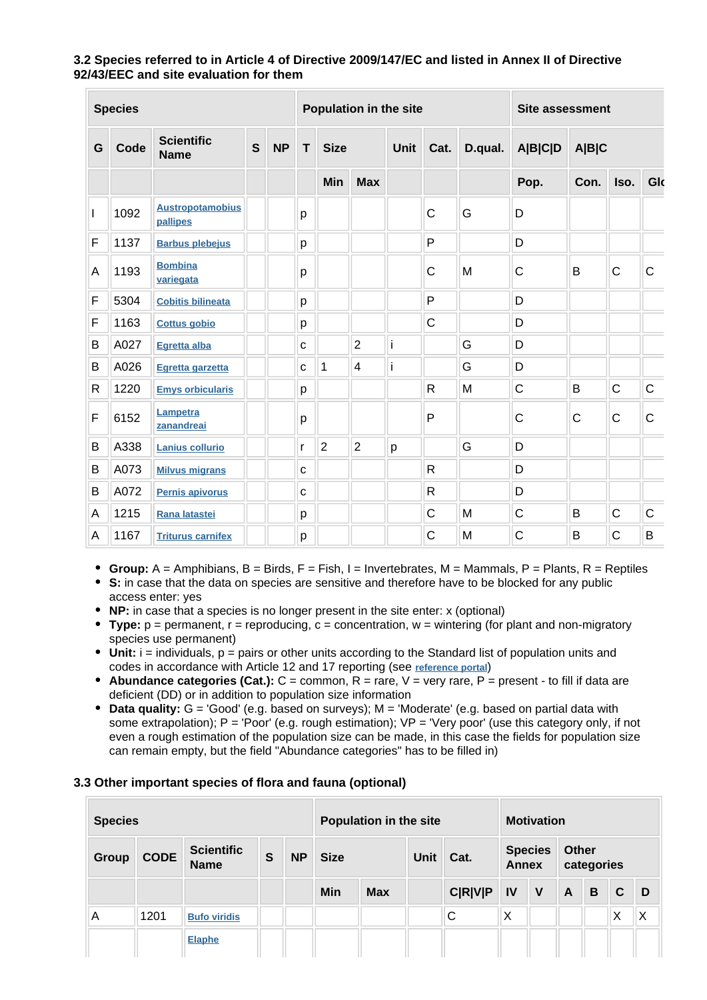### **3.2 Species referred to in Article 4 of Directive 2009/147/EC and listed in Annex II of Directive 92/43/EEC and site evaluation for them**

| <b>Species</b> |      |                                     |   | Population in the site |   |                |                | <b>Site assessment</b> |                         |   |                  |              |              |             |
|----------------|------|-------------------------------------|---|------------------------|---|----------------|----------------|------------------------|-------------------------|---|------------------|--------------|--------------|-------------|
| G              | Code | <b>Scientific</b><br><b>Name</b>    | S | <b>NP</b>              | T | <b>Size</b>    |                |                        | Unit<br>Cat.<br>D.qual. |   | A B C D<br>A B C |              |              |             |
|                |      |                                     |   |                        |   | Min            | <b>Max</b>     |                        |                         |   | Pop.             | Con.         | Iso.         | Glo         |
|                | 1092 | <b>Austropotamobius</b><br>pallipes |   |                        | р |                |                |                        | $\mathsf{C}$            | G | D                |              |              |             |
| F              | 1137 | <b>Barbus plebejus</b>              |   |                        | р |                |                |                        | P                       |   | D                |              |              |             |
| A              | 1193 | <b>Bombina</b><br>variegata         |   |                        | р |                |                |                        | $\mathsf{C}$            | M | $\mathsf{C}$     | B            | $\mathsf{C}$ | C           |
| F              | 5304 | <b>Cobitis bilineata</b>            |   |                        | р |                |                |                        | P                       |   | D                |              |              |             |
| F              | 1163 | <b>Cottus gobio</b>                 |   |                        | р |                |                |                        | $\mathsf{C}$            |   | D                |              |              |             |
| В              | A027 | Egretta alba                        |   |                        | C |                | $\overline{2}$ | i                      |                         | G | D                |              |              |             |
| B              | A026 | Egretta garzetta                    |   |                        | C | 1              | 4              | i                      |                         | G | D                |              |              |             |
| $\mathsf{R}$   | 1220 | <b>Emys orbicularis</b>             |   |                        | р |                |                |                        | $\mathsf{R}$            | M | $\mathsf{C}$     | B            | $\mathsf{C}$ | $\mathsf C$ |
| F              | 6152 | Lampetra<br>zanandreai              |   |                        | р |                |                |                        | P                       |   | $\mathsf{C}$     | $\mathsf{C}$ | $\mathsf{C}$ | C           |
| B              | A338 | <b>Lanius collurio</b>              |   |                        | r | $\overline{2}$ | $\overline{2}$ | p                      |                         | G | D                |              |              |             |
| B              | A073 | <b>Milvus migrans</b>               |   |                        | C |                |                |                        | $\mathsf{R}$            |   | D                |              |              |             |
| B              | A072 | Pernis apivorus                     |   |                        | C |                |                |                        | $\mathsf{R}$            |   | D                |              |              |             |
| Α              | 1215 | Rana latastei                       |   |                        | р |                |                |                        | $\mathsf{C}$            | M | $\mathsf{C}$     | B            | $\mathsf{C}$ | $\mathsf C$ |
| A              | 1167 | <b>Triturus carnifex</b>            |   |                        | p |                |                |                        | $\mathsf{C}$            | M | C                | B            | $\mathsf{C}$ | B           |

- **Group:**  $A =$  Amphibians,  $B =$  Birds,  $F =$  Fish,  $I =$  Invertebrates,  $M =$  Mammals,  $P =$  Plants,  $R =$  Reptiles
- **S:** in case that the data on species are sensitive and therefore have to be blocked for any public access enter: yes
- **NP:** in case that a species is no longer present in the site enter: x (optional)
- **Type:** p = permanent, r = reproducing, c = concentration, w = wintering (for plant and non-migratory species use permanent)
- $\bullet$  Unit: i = individuals,  $p =$  pairs or other units according to the Standard list of population units and codes in accordance with Article 12 and 17 reporting (see **[reference portal](http://bd.eionet.europa.eu/activities/Natura_2000/reference_portal)**)
- **Abundance categories (Cat.):** C = common, R = rare, V = very rare, P = present to fill if data are deficient (DD) or in addition to population size information
- **Data quality:** G = 'Good' (e.g. based on surveys); M = 'Moderate' (e.g. based on partial data with some extrapolation);  $P = 'Poor'$  (e.g. rough estimation);  $VP = 'Verv$  poor' (use this category only, if not even a rough estimation of the population size can be made, in this case the fields for population size can remain empty, but the field "Abundance categories" has to be filled in)

### **3.3 Other important species of flora and fauna (optional)**

| <b>Species</b> |             |                                  | Population in the site |           |             |            | <b>Motivation</b> |                |                                |   |                            |   |              |   |
|----------------|-------------|----------------------------------|------------------------|-----------|-------------|------------|-------------------|----------------|--------------------------------|---|----------------------------|---|--------------|---|
| <b>Group</b>   | <b>CODE</b> | <b>Scientific</b><br><b>Name</b> | $\mathbf{s}$           | <b>NP</b> | <b>Size</b> |            | Unit              | Cat.           | <b>Species</b><br><b>Annex</b> |   | <b>Other</b><br>categories |   |              |   |
|                |             |                                  |                        |           | Min         | <b>Max</b> |                   | <b>C R V P</b> | <b>IV</b>                      | V | $\mathsf{A}$               | B | $\mathbf{C}$ | D |
| A              | 1201        | <b>Bufo viridis</b>              |                        |           |             |            |                   | С              | X                              |   |                            |   | Χ            | Χ |
|                |             | <b>Elaphe</b>                    |                        |           |             |            |                   |                |                                |   |                            |   |              |   |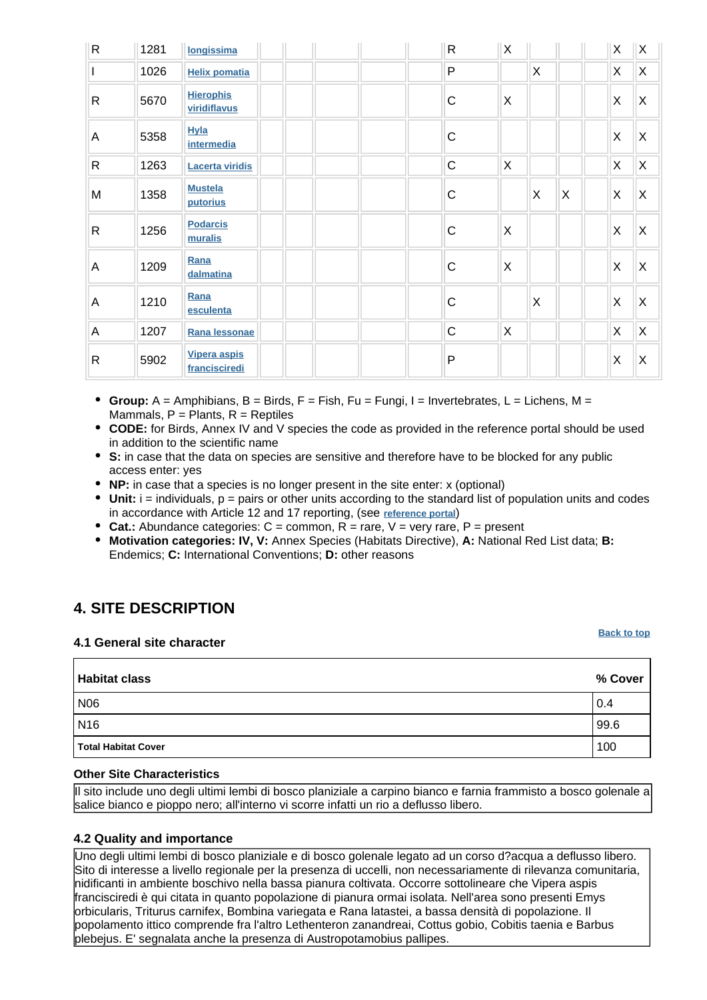| $\mathsf R$  | 1281 | longissima                           | $\mathsf{R}$ | $\mathsf{X}$            |   |   | $\mathsf X$  | $\overline{\mathsf{x}}$ |
|--------------|------|--------------------------------------|--------------|-------------------------|---|---|--------------|-------------------------|
|              | 1026 | <b>Helix pomatia</b>                 | P            |                         | X |   | X            | $\mathsf{X}$            |
| $\mathsf{R}$ | 5670 | <b>Hierophis</b><br>viridiflavus     | $\mathsf C$  | $\overline{\mathsf{x}}$ |   |   | $\mathsf X$  | $\mathsf X$             |
| A            | 5358 | <b>Hyla</b><br><i>intermedia</i>     | $\mathsf C$  |                         |   |   | $\mathsf X$  | $\overline{\mathsf{x}}$ |
| $\mathsf{R}$ | 1263 | <b>Lacerta viridis</b>               | $\mathsf C$  | $\mathsf{X}$            |   |   | $\mathsf{X}$ | $\mathsf{X}$            |
| M            | 1358 | <b>Mustela</b><br>putorius           | $\mathsf C$  |                         | X | X | X            | $\times$                |
| $\mathsf{R}$ | 1256 | <b>Podarcis</b><br>muralis           | $\mathsf C$  | ΙX                      |   |   | X            | $\overline{\mathsf{x}}$ |
| A            | 1209 | Rana<br>dalmatina                    | $\mathsf C$  | ΙX                      |   |   | X            | $\overline{\mathsf{x}}$ |
| A            | 1210 | Rana<br>esculenta                    | $\mathsf C$  |                         | X |   | X            | $\overline{\mathsf{x}}$ |
| A            | 1207 | Rana lessonae                        | $\mathsf{C}$ | X.                      |   |   | X            | $\mathsf X$             |
| $\mathsf{R}$ | 5902 | <b>Vipera aspis</b><br>francisciredi | P            |                         |   |   | X            | $\sf X$                 |

- **Group:** A = Amphibians, B = Birds, F = Fish, Fu = Fungi, I = Invertebrates, L = Lichens, M = Mammals,  $P =$  Plants,  $R =$  Reptiles
- **CODE:** for Birds, Annex IV and V species the code as provided in the reference portal should be used in addition to the scientific name
- **S:** in case that the data on species are sensitive and therefore have to be blocked for any public access enter: yes
- **NP:** in case that a species is no longer present in the site enter: x (optional)
- $\bullet$  Unit:  $i =$  individuals,  $p =$  pairs or other units according to the standard list of population units and codes in accordance with Article 12 and 17 reporting, (see **[reference portal](http://bd.eionet.europa.eu/activities/Natura_2000/reference_portal)**)
- Cat.: Abundance categories:  $C =$  common,  $R =$  rare,  $V =$  very rare,  $P =$  present
- **Motivation categories: IV, V:** Annex Species (Habitats Directive), **A:** National Red List data; **B:** Endemics; **C:** International Conventions; **D:** other reasons

## <span id="page-3-0"></span>**4. SITE DESCRIPTION**

#### **4.1 General site character**

| <b>Habitat class</b>       | % Cover |
|----------------------------|---------|
| N <sub>06</sub>            | 0.4     |
| N <sub>16</sub>            | 99.6    |
| <b>Total Habitat Cover</b> | 100     |

### **Other Site Characteristics**

Il sito include uno degli ultimi lembi di bosco planiziale a carpino bianco e farnia frammisto a bosco golenale a salice bianco e pioppo nero; all'interno vi scorre infatti un rio a deflusso libero.

### **4.2 Quality and importance**

Uno degli ultimi lembi di bosco planiziale e di bosco golenale legato ad un corso d?acqua a deflusso libero. Sito di interesse a livello regionale per la presenza di uccelli, non necessariamente di rilevanza comunitaria, nidificanti in ambiente boschivo nella bassa pianura coltivata. Occorre sottolineare che Vipera aspis francisciredi è qui citata in quanto popolazione di pianura ormai isolata. Nell'area sono presenti Emys orbicularis, Triturus carnifex, Bombina variegata e Rana latastei, a bassa densità di popolazione. Il popolamento ittico comprende fra l'altro Lethenteron zanandreai, Cottus gobio, Cobitis taenia e Barbus plebejus. E' segnalata anche la presenza di Austropotamobius pallipes.

#### **[Back to top](#page-0-0)**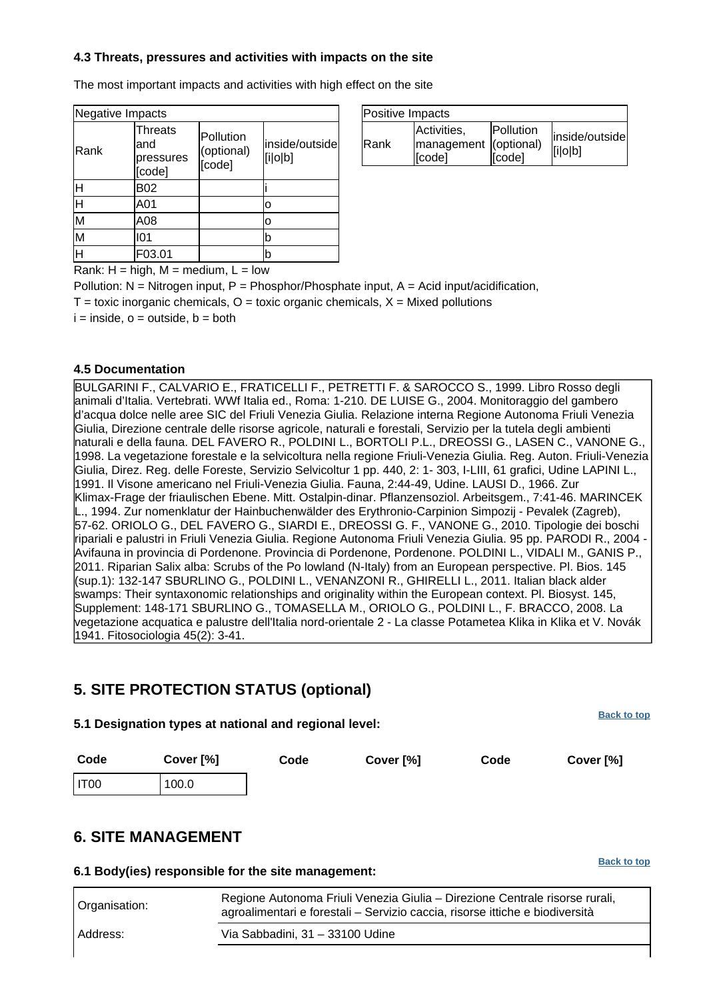### **4.3 Threats, pressures and activities with impacts on the site**

The most important impacts and activities with high effect on the site

| Negative Impacts |                                       |                                   |                           |  |  |  |  |  |
|------------------|---------------------------------------|-----------------------------------|---------------------------|--|--|--|--|--|
| Rank             | Threats<br>and<br>pressures<br>[code] | Pollution<br>(optional)<br>[code] | inside/outside<br>[i o b] |  |  |  |  |  |
| H                | <b>B02</b>                            |                                   |                           |  |  |  |  |  |
| H                | A01                                   |                                   | о                         |  |  |  |  |  |
| M                | A08                                   |                                   | o                         |  |  |  |  |  |
| M                | 101                                   |                                   | b                         |  |  |  |  |  |
| H                | F03.01                                |                                   | b                         |  |  |  |  |  |

| Positive Impacts |                                                |                     |                           |  |  |  |  |
|------------------|------------------------------------------------|---------------------|---------------------------|--|--|--|--|
| <b>IRank</b>     | Activities,<br>management (optional)<br>[code] | Pollution<br>[code] | inside/outside<br>[i o b] |  |  |  |  |

Rank:  $H = high$ ,  $M = medium$ ,  $L = low$ 

Pollution:  $N =$  Nitrogen input, P = Phosphor/Phosphate input, A = Acid input/acidification,  $T =$  toxic inorganic chemicals,  $O =$  toxic organic chemicals,  $X =$  Mixed pollutions  $i = inside, o = outside, b = both$ 

### **4.5 Documentation**

BULGARINI F., CALVARIO E., FRATICELLI F., PETRETTI F. & SAROCCO S., 1999. Libro Rosso degli animali d'Italia. Vertebrati. WWf Italia ed., Roma: 1-210. DE LUISE G., 2004. Monitoraggio del gambero d'acqua dolce nelle aree SIC del Friuli Venezia Giulia. Relazione interna Regione Autonoma Friuli Venezia Giulia, Direzione centrale delle risorse agricole, naturali e forestali, Servizio per la tutela degli ambienti naturali e della fauna. DEL FAVERO R., POLDINI L., BORTOLI P.L., DREOSSI G., LASEN C., VANONE G., 1998. La vegetazione forestale e la selvicoltura nella regione Friuli-Venezia Giulia. Reg. Auton. Friuli-Venezia Giulia, Direz. Reg. delle Foreste, Servizio Selvicoltur 1 pp. 440, 2: 1- 303, I-LIII, 61 grafici, Udine LAPINI L., 1991. Il Visone americano nel Friuli-Venezia Giulia. Fauna, 2:44-49, Udine. LAUSI D., 1966. Zur Klimax-Frage der friaulischen Ebene. Mitt. Ostalpin-dinar. Pflanzensoziol. Arbeitsgem., 7:41-46. MARINCEK L., 1994. Zur nomenklatur der Hainbuchenwälder des Erythronio-Carpinion Simpozij - Pevalek (Zagreb), 57-62. ORIOLO G., DEL FAVERO G., SIARDI E., DREOSSI G. F., VANONE G., 2010. Tipologie dei boschi ripariali e palustri in Friuli Venezia Giulia. Regione Autonoma Friuli Venezia Giulia. 95 pp. PARODI R., 2004 - Avifauna in provincia di Pordenone. Provincia di Pordenone, Pordenone. POLDINI L., VIDALI M., GANIS P., 2011. Riparian Salix alba: Scrubs of the Po lowland (N-Italy) from an European perspective. Pl. Bios. 145 (sup.1): 132-147 SBURLINO G., POLDINI L., VENANZONI R., GHIRELLI L., 2011. Italian black alder swamps: Their syntaxonomic relationships and originality within the European context. Pl. Biosyst. 145, Supplement: 148-171 SBURLINO G., TOMASELLA M., ORIOLO G., POLDINI L., F. BRACCO, 2008. La vegetazione acquatica e palustre dell'Italia nord-orientale 2 - La classe Potametea Klika in Klika et V. Novák 1941. Fitosociologia 45(2): 3-41.

### <span id="page-4-0"></span>**5. SITE PROTECTION STATUS (optional)**

**5.1 Designation types at national and regional level:**

| Code   | Cover [%] | Code | Cover [%] | Code | Cover [%] |
|--------|-----------|------|-----------|------|-----------|
| I IT00 | 100.0     |      |           |      |           |

### <span id="page-4-1"></span>**6. SITE MANAGEMENT**

**6.1 Body(ies) responsible for the site management:**

| Organisation: | Regione Autonoma Friuli Venezia Giulia - Direzione Centrale risorse rurali,<br>agroalimentari e forestali - Servizio caccia, risorse ittiche e biodiversità |
|---------------|-------------------------------------------------------------------------------------------------------------------------------------------------------------|
| Address:      | Via Sabbadini, 31 - 33100 Udine                                                                                                                             |

**[Back to top](#page-0-0)**

**[Back to top](#page-0-0)**